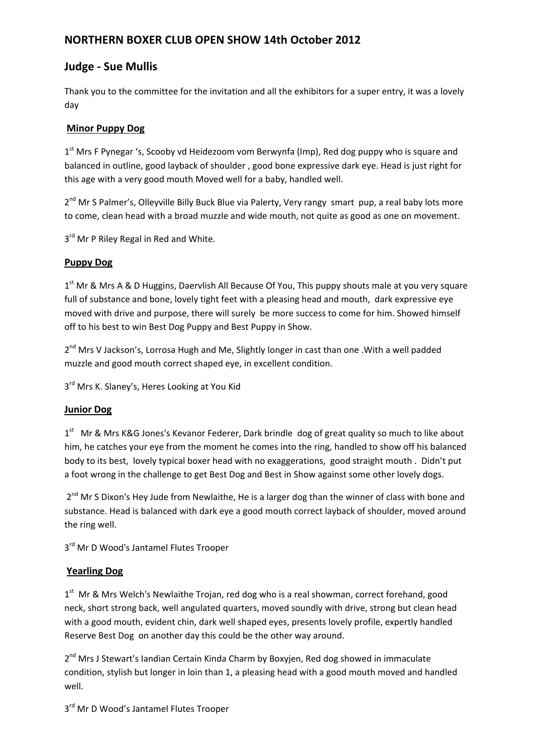# **NORTHERN BOXER CLUB OPEN SHOW 14th October 2012**

# **Judge ‐ Sue Mullis**

Thank you to the committee for the invitation and all the exhibitors for a super entry, it was a lovely day

# **Minor Puppy Dog**

 $1<sup>st</sup>$  Mrs F Pynegar 's, Scooby vd Heidezoom vom Berwynfa (Imp), Red dog puppy who is square and balanced in outline, good layback of shoulder , good bone expressive dark eye. Head is just right for this age with a very good mouth Moved well for a baby, handled well.

2<sup>nd</sup> Mr S Palmer's, Olleyville Billy Buck Blue via Palerty, Very rangy smart pup, a real baby lots more to come, clean head with a broad muzzle and wide mouth, not quite as good as one on movement.

 $3<sup>rd</sup>$  Mr P Riley Regal in Red and White.

# **Puppy Dog**

1<sup>st</sup> Mr & Mrs A & D Huggins, Daervlish All Because Of You, This puppy shouts male at you very square full of substance and bone, lovely tight feet with a pleasing head and mouth, dark expressive eye moved with drive and purpose, there will surely be more success to come for him. Showed himself off to his best to win Best Dog Puppy and Best Puppy in Show.

2<sup>nd</sup> Mrs V Jackson's, Lorrosa Hugh and Me, Slightly longer in cast than one . With a well padded muzzle and good mouth correct shaped eye, in excellent condition.

3<sup>rd</sup> Mrs K. Slaney's, Heres Looking at You Kid

# **Junior Dog**

1<sup>st</sup> Mr & Mrs K&G Jones's Kevanor Federer, Dark brindle dog of great quality so much to like about him, he catches your eye from the moment he comes into the ring, handled to show off his balanced body to its best, lovely typical boxer head with no exaggerations, good straight mouth . Didn't put a foot wrong in the challenge to get Best Dog and Best in Show against some other lovely dogs.

 $2^{nd}$  Mr S Dixon's Hey Jude from Newlaithe, He is a larger dog than the winner of class with bone and substance. Head is balanced with dark eye a good mouth correct layback of shoulder, moved around the ring well.

 $3<sup>rd</sup>$  Mr D Wood's Jantamel Flutes Trooper

# **Yearling Dog**

1<sup>st</sup> Mr & Mrs Welch's Newlaithe Trojan, red dog who is a real showman, correct forehand, good neck, short strong back, well angulated quarters, moved soundly with drive, strong but clean head with a good mouth, evident chin, dark well shaped eyes, presents lovely profile, expertly handled Reserve Best Dog on another day this could be the other way around.

2<sup>nd</sup> Mrs J Stewart's Iandian Certain Kinda Charm by Boxyjen, Red dog showed in immaculate condition, stylish but longer in loin than 1, a pleasing head with a good mouth moved and handled well.

 $3<sup>rd</sup>$  Mr D Wood's Jantamel Flutes Trooper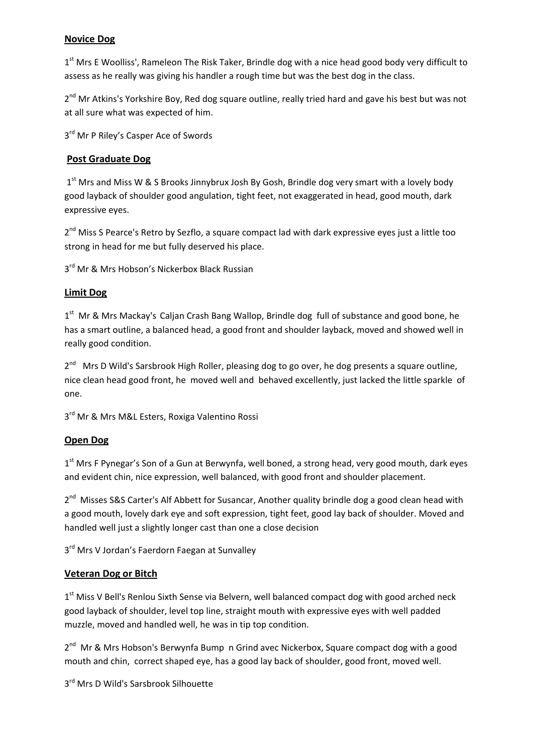# **Novice Dog**

1<sup>st</sup> Mrs E Woolliss', Rameleon The Risk Taker, Brindle dog with a nice head good body very difficult to assess as he really was giving his handler a rough time but was the best dog in the class.

2<sup>nd</sup> Mr Atkins's Yorkshire Boy, Red dog square outline, really tried hard and gave his best but was not at all sure what was expected of him.

3<sup>rd</sup> Mr P Riley's Casper Ace of Swords

# **Post Graduate Dog**

 $1<sup>st</sup>$  Mrs and Miss W & S Brooks Jinnybrux Josh By Gosh, Brindle dog very smart with a lovely body good layback of shoulder good angulation, tight feet, not exaggerated in head, good mouth, dark expressive eyes.

2<sup>nd</sup> Miss S Pearce's Retro by Sezflo, a square compact lad with dark expressive eyes just a little too strong in head for me but fully deserved his place.

3<sup>rd</sup> Mr & Mrs Hobson's Nickerbox Black Russian

# **Limit Dog**

1<sup>st</sup> Mr & Mrs Mackay's Caljan Crash Bang Wallop, Brindle dog full of substance and good bone, he has a smart outline, a balanced head, a good front and shoulder layback, moved and showed well in really good condition.

2<sup>nd</sup> Mrs D Wild's Sarsbrook High Roller, pleasing dog to go over, he dog presents a square outline, nice clean head good front, he moved well and behaved excellently, just lacked the little sparkle of one.

3<sup>rd</sup> Mr & Mrs M&L Esters, Roxiga Valentino Rossi

#### **Open Dog**

 $1<sup>st</sup>$  Mrs F Pynegar's Son of a Gun at Berwynfa, well boned, a strong head, very good mouth, dark eyes and evident chin, nice expression, well balanced, with good front and shoulder placement.

 $2^{nd}$  Misses S&S Carter's Alf Abbett for Susancar, Another quality brindle dog a good clean head with a good mouth, lovely dark eye and soft expression, tight feet, good lay back of shoulder. Moved and handled well just a slightly longer cast than one a close decision

3<sup>rd</sup> Mrs V Jordan's Faerdorn Faegan at Sunvalley

#### **Veteran Dog or Bitch**

1<sup>st</sup> Miss V Bell's Renlou Sixth Sense via Belvern, well balanced compact dog with good arched neck good layback of shoulder, level top line, straight mouth with expressive eyes with well padded muzzle, moved and handled well, he was in tip top condition.

2<sup>nd</sup> Mr & Mrs Hobson's Berwynfa Bump n Grind avec Nickerbox, Square compact dog with a good mouth and chin, correct shaped eye, has a good lay back of shoulder, good front, moved well.

3<sup>rd</sup> Mrs D Wild's Sarsbrook Silhouette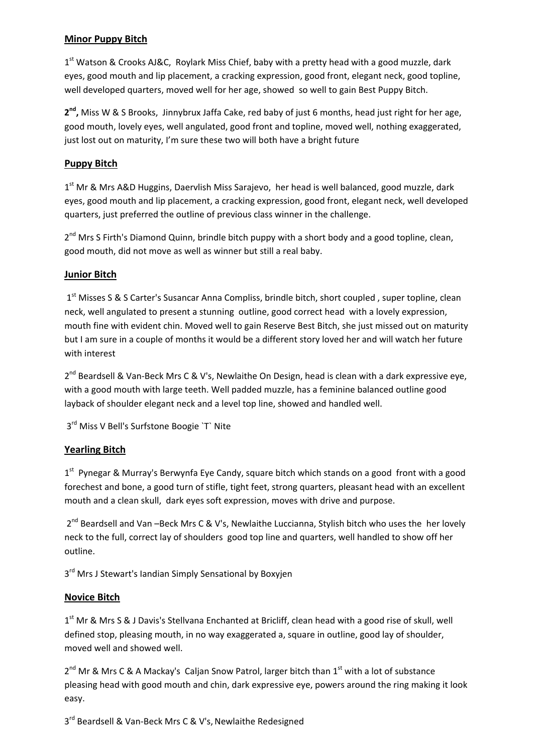# **Minor Puppy Bitch**

 $1<sup>st</sup>$  Watson & Crooks AJ&C, Roylark Miss Chief, baby with a pretty head with a good muzzle, dark eyes, good mouth and lip placement, a cracking expression, good front, elegant neck, good topline, well developed quarters, moved well for her age, showed so well to gain Best Puppy Bitch.

**2nd,** Miss W & S Brooks, Jinnybrux Jaffa Cake, red baby of just 6 months, head just right for her age, good mouth, lovely eyes, well angulated, good front and topline, moved well, nothing exaggerated, just lost out on maturity, I'm sure these two will both have a bright future

# **Puppy Bitch**

1<sup>st</sup> Mr & Mrs A&D Huggins, Daervlish Miss Sarajevo, her head is well balanced, good muzzle, dark eyes, good mouth and lip placement, a cracking expression, good front, elegant neck, well developed quarters, just preferred the outline of previous class winner in the challenge.

 $2^{nd}$  Mrs S Firth's Diamond Quinn, brindle bitch puppy with a short body and a good topline, clean, good mouth, did not move as well as winner but still a real baby.

# **Junior Bitch**

1<sup>st</sup> Misses S & S Carter's Susancar Anna Compliss, brindle bitch, short coupled, super topline, clean neck, well angulated to present a stunning outline, good correct head with a lovely expression, mouth fine with evident chin. Moved well to gain Reserve Best Bitch, she just missed out on maturity but I am sure in a couple of months it would be a different story loved her and will watch her future with interest

2<sup>nd</sup> Beardsell & Van-Beck Mrs C & V's, Newlaithe On Design, head is clean with a dark expressive eye, with a good mouth with large teeth. Well padded muzzle, has a feminine balanced outline good layback of shoulder elegant neck and a level top line, showed and handled well.

3rd Miss V Bell's Surfstone Boogie `T` Nite

#### **Yearling Bitch**

 $1<sup>st</sup>$  Pynegar & Murray's Berwynfa Eye Candy, square bitch which stands on a good front with a good forechest and bone, a good turn of stifle, tight feet, strong quarters, pleasant head with an excellent mouth and a clean skull, dark eyes soft expression, moves with drive and purpose.

 $2^{nd}$  Beardsell and Van –Beck Mrs C & V's, Newlaithe Luccianna, Stylish bitch who uses the her lovely neck to the full, correct lay of shoulders good top line and quarters, well handled to show off her outline.

3<sup>rd</sup> Mrs J Stewart's landian Simply Sensational by Boxyjen

#### **Novice Bitch**

1<sup>st</sup> Mr & Mrs S & J Davis's Stellvana Enchanted at Bricliff, clean head with a good rise of skull, well defined stop, pleasing mouth, in no way exaggerated a, square in outline, good lay of shoulder, moved well and showed well.

 $2^{nd}$  Mr & Mrs C & A Mackay's Calian Snow Patrol, larger bitch than  $1^{st}$  with a lot of substance pleasing head with good mouth and chin, dark expressive eye, powers around the ring making it look easy.

3<sup>rd</sup> Beardsell & Van-Beck Mrs C & V's, Newlaithe Redesigned